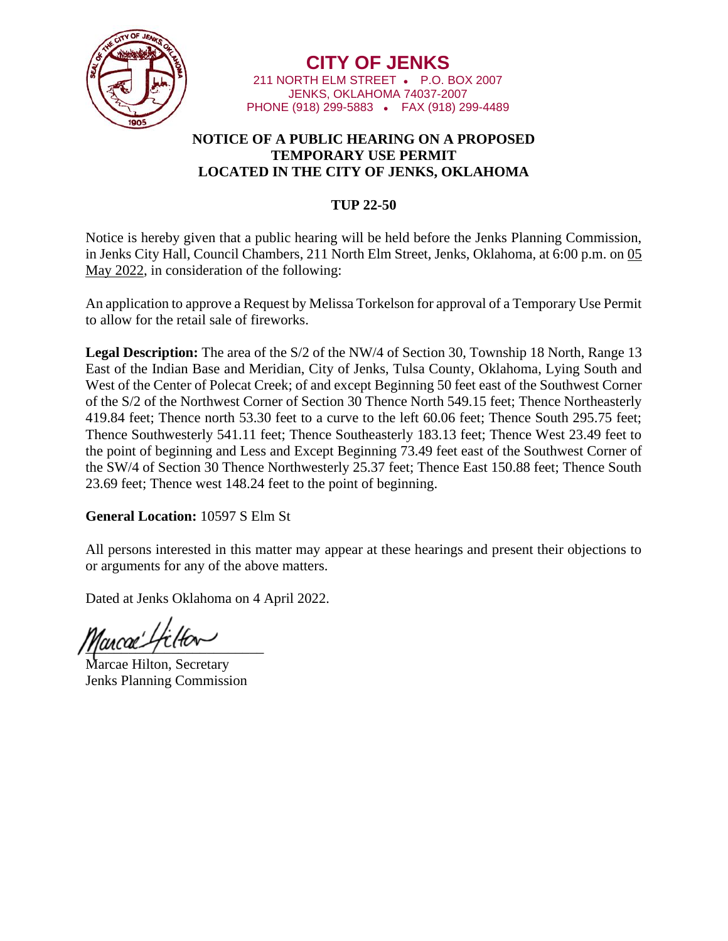

**CITY OF JENKS** 211 NORTH ELM STREET • P.O. BOX 2007 JENKS, OKLAHOMA 74037-2007 PHONE (918) 299-5883 • FAX (918) 299-4489

## **NOTICE OF A PUBLIC HEARING ON A PROPOSED TEMPORARY USE PERMIT LOCATED IN THE CITY OF JENKS, OKLAHOMA**

## **TUP 22-50**

Notice is hereby given that a public hearing will be held before the Jenks Planning Commission, in Jenks City Hall, Council Chambers, 211 North Elm Street, Jenks, Oklahoma, at 6:00 p.m. on 05 May 2022, in consideration of the following:

An application to approve a Request by Melissa Torkelson for approval of a Temporary Use Permit to allow for the retail sale of fireworks.

**Legal Description:** The area of the S/2 of the NW/4 of Section 30, Township 18 North, Range 13 East of the Indian Base and Meridian, City of Jenks, Tulsa County, Oklahoma, Lying South and West of the Center of Polecat Creek; of and except Beginning 50 feet east of the Southwest Corner of the S/2 of the Northwest Corner of Section 30 Thence North 549.15 feet; Thence Northeasterly 419.84 feet; Thence north 53.30 feet to a curve to the left 60.06 feet; Thence South 295.75 feet; Thence Southwesterly 541.11 feet; Thence Southeasterly 183.13 feet; Thence West 23.49 feet to the point of beginning and Less and Except Beginning 73.49 feet east of the Southwest Corner of the SW/4 of Section 30 Thence Northwesterly 25.37 feet; Thence East 150.88 feet; Thence South 23.69 feet; Thence west 148.24 feet to the point of beginning.

## **General Location:** 10597 S Elm St

All persons interested in this matter may appear at these hearings and present their objections to or arguments for any of the above matters.

Dated at Jenks Oklahoma on 4 April 2022.

ancac' L

Marcae Hilton, Secretary Jenks Planning Commission